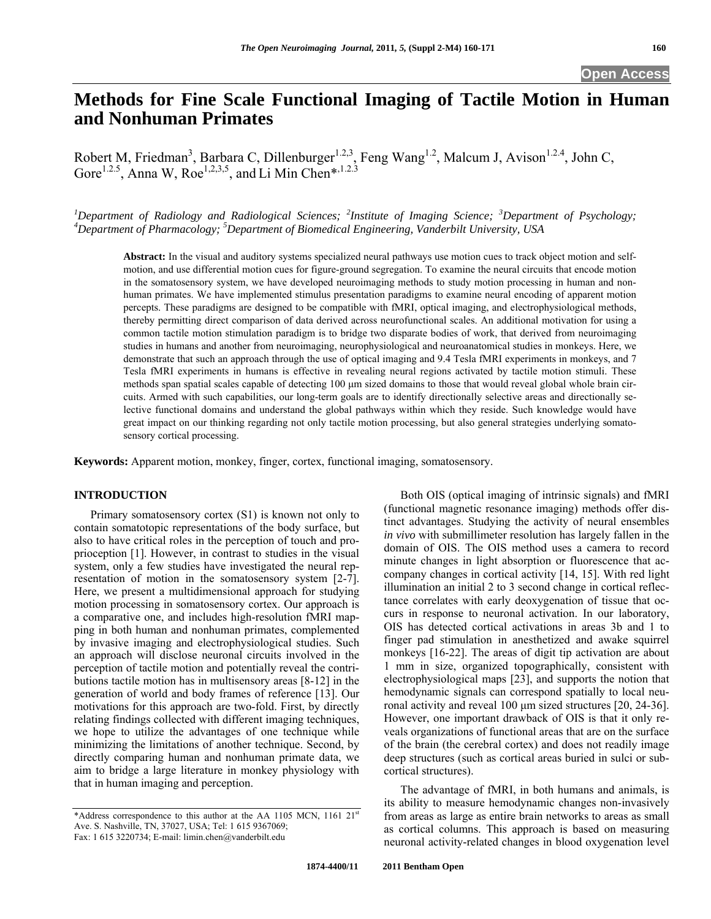# **Methods for Fine Scale Functional Imaging of Tactile Motion in Human and Nonhuman Primates**

Robert M, Friedman<sup>3</sup>, Barbara C, Dillenburger<sup>1.2,3</sup>, Feng Wang<sup>1.2</sup>, Malcum J, Avison<sup>1.2.4</sup>, John C, Gore<sup>1.2.5</sup>, Anna W, Roe<sup>1,2,3,5</sup>, and Li Min Chen\*,<sup>1.2.3</sup>

*1 Department of Radiology and Radiological Sciences; <sup>2</sup> Institute of Imaging Science; <sup>3</sup> Department of Psychology; 4 Department of Pharmacology; 5 Department of Biomedical Engineering, Vanderbilt University, USA* 

**Abstract:** In the visual and auditory systems specialized neural pathways use motion cues to track object motion and selfmotion, and use differential motion cues for figure-ground segregation. To examine the neural circuits that encode motion in the somatosensory system, we have developed neuroimaging methods to study motion processing in human and nonhuman primates. We have implemented stimulus presentation paradigms to examine neural encoding of apparent motion percepts. These paradigms are designed to be compatible with fMRI, optical imaging, and electrophysiological methods, thereby permitting direct comparison of data derived across neurofunctional scales. An additional motivation for using a common tactile motion stimulation paradigm is to bridge two disparate bodies of work, that derived from neuroimaging studies in humans and another from neuroimaging, neurophysiological and neuroanatomical studies in monkeys. Here, we demonstrate that such an approach through the use of optical imaging and 9.4 Tesla fMRI experiments in monkeys, and 7 Tesla fMRI experiments in humans is effective in revealing neural regions activated by tactile motion stimuli. These methods span spatial scales capable of detecting 100 μm sized domains to those that would reveal global whole brain circuits. Armed with such capabilities, our long-term goals are to identify directionally selective areas and directionally selective functional domains and understand the global pathways within which they reside. Such knowledge would have great impact on our thinking regarding not only tactile motion processing, but also general strategies underlying somatosensory cortical processing.

**Keywords:** Apparent motion, monkey, finger, cortex, functional imaging, somatosensory.

# **INTRODUCTION**

 Primary somatosensory cortex (S1) is known not only to contain somatotopic representations of the body surface, but also to have critical roles in the perception of touch and proprioception [1]. However, in contrast to studies in the visual system, only a few studies have investigated the neural representation of motion in the somatosensory system [2-7]. Here, we present a multidimensional approach for studying motion processing in somatosensory cortex. Our approach is a comparative one, and includes high-resolution fMRI mapping in both human and nonhuman primates, complemented by invasive imaging and electrophysiological studies. Such an approach will disclose neuronal circuits involved in the perception of tactile motion and potentially reveal the contributions tactile motion has in multisensory areas [8-12] in the generation of world and body frames of reference [13]. Our motivations for this approach are two-fold. First, by directly relating findings collected with different imaging techniques, we hope to utilize the advantages of one technique while minimizing the limitations of another technique. Second, by directly comparing human and nonhuman primate data, we aim to bridge a large literature in monkey physiology with that in human imaging and perception.

 Both OIS (optical imaging of intrinsic signals) and fMRI (functional magnetic resonance imaging) methods offer distinct advantages. Studying the activity of neural ensembles *in vivo* with submillimeter resolution has largely fallen in the domain of OIS. The OIS method uses a camera to record minute changes in light absorption or fluorescence that accompany changes in cortical activity [14, 15]. With red light illumination an initial 2 to 3 second change in cortical reflectance correlates with early deoxygenation of tissue that occurs in response to neuronal activation. In our laboratory, OIS has detected cortical activations in areas 3b and 1 to finger pad stimulation in anesthetized and awake squirrel monkeys [16-22]. The areas of digit tip activation are about 1 mm in size, organized topographically, consistent with electrophysiological maps [23], and supports the notion that hemodynamic signals can correspond spatially to local neuronal activity and reveal 100 μm sized structures [20, 24-36]. However, one important drawback of OIS is that it only reveals organizations of functional areas that are on the surface of the brain (the cerebral cortex) and does not readily image deep structures (such as cortical areas buried in sulci or subcortical structures).

 The advantage of fMRI, in both humans and animals, is its ability to measure hemodynamic changes non-invasively from areas as large as entire brain networks to areas as small as cortical columns. This approach is based on measuring neuronal activity-related changes in blood oxygenation level

<sup>\*</sup>Address correspondence to this author at the AA 1105 MCN, 1161 21st Ave. S. Nashville, TN, 37027, USA; Tel: 1 615 9367069; Fax: 1 615 3220734; E-mail: limin.chen@vanderbilt.edu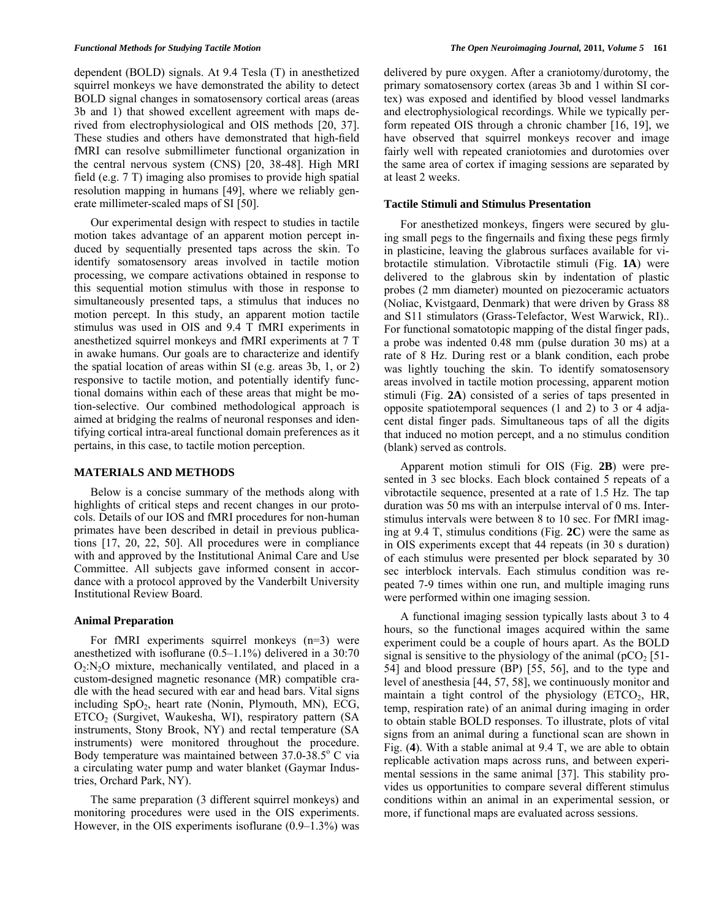dependent (BOLD) signals. At 9.4 Tesla (T) in anesthetized squirrel monkeys we have demonstrated the ability to detect BOLD signal changes in somatosensory cortical areas (areas 3b and 1) that showed excellent agreement with maps derived from electrophysiological and OIS methods [20, 37]. These studies and others have demonstrated that high-field fMRI can resolve submillimeter functional organization in the central nervous system (CNS) [20, 38-48]. High MRI field (e.g. 7 T) imaging also promises to provide high spatial resolution mapping in humans [49], where we reliably generate millimeter-scaled maps of SI [50].

 Our experimental design with respect to studies in tactile motion takes advantage of an apparent motion percept induced by sequentially presented taps across the skin. To identify somatosensory areas involved in tactile motion processing, we compare activations obtained in response to this sequential motion stimulus with those in response to simultaneously presented taps, a stimulus that induces no motion percept. In this study, an apparent motion tactile stimulus was used in OIS and 9.4 T fMRI experiments in anesthetized squirrel monkeys and fMRI experiments at 7 T in awake humans. Our goals are to characterize and identify the spatial location of areas within SI (e.g. areas 3b, 1, or 2) responsive to tactile motion, and potentially identify functional domains within each of these areas that might be motion-selective. Our combined methodological approach is aimed at bridging the realms of neuronal responses and identifying cortical intra-areal functional domain preferences as it pertains, in this case, to tactile motion perception.

# **MATERIALS AND METHODS**

 Below is a concise summary of the methods along with highlights of critical steps and recent changes in our protocols. Details of our IOS and fMRI procedures for non-human primates have been described in detail in previous publications [17, 20, 22, 50]. All procedures were in compliance with and approved by the Institutional Animal Care and Use Committee. All subjects gave informed consent in accordance with a protocol approved by the Vanderbilt University Institutional Review Board.

### **Animal Preparation**

 For fMRI experiments squirrel monkeys (n=3) were anesthetized with isoflurane (0.5–1.1%) delivered in a 30:70  $O_2:N_2O$  mixture, mechanically ventilated, and placed in a custom-designed magnetic resonance (MR) compatible cradle with the head secured with ear and head bars. Vital signs including  $SpO<sub>2</sub>$ , heart rate (Nonin, Plymouth, MN), ECG, ETCO2 (Surgivet, Waukesha, WI), respiratory pattern (SA instruments, Stony Brook, NY) and rectal temperature (SA instruments) were monitored throughout the procedure. Body temperature was maintained between  $37.0 - 38.5$ ° C via a circulating water pump and water blanket (Gaymar Industries, Orchard Park, NY).

 The same preparation (3 different squirrel monkeys) and monitoring procedures were used in the OIS experiments. However, in the OIS experiments isoflurane (0.9–1.3%) was delivered by pure oxygen. After a craniotomy/durotomy, the primary somatosensory cortex (areas 3b and 1 within SI cortex) was exposed and identified by blood vessel landmarks and electrophysiological recordings. While we typically perform repeated OIS through a chronic chamber [16, 19], we have observed that squirrel monkeys recover and image fairly well with repeated craniotomies and durotomies over the same area of cortex if imaging sessions are separated by at least 2 weeks.

# **Tactile Stimuli and Stimulus Presentation**

 For anesthetized monkeys, fingers were secured by gluing small pegs to the fingernails and fixing these pegs firmly in plasticine, leaving the glabrous surfaces available for vibrotactile stimulation. Vibrotactile stimuli (Fig. **1A**) were delivered to the glabrous skin by indentation of plastic probes (2 mm diameter) mounted on piezoceramic actuators (Noliac, Kvistgaard, Denmark) that were driven by Grass 88 and S11 stimulators (Grass-Telefactor, West Warwick, RI).. For functional somatotopic mapping of the distal finger pads, a probe was indented 0.48 mm (pulse duration 30 ms) at a rate of 8 Hz. During rest or a blank condition, each probe was lightly touching the skin. To identify somatosensory areas involved in tactile motion processing, apparent motion stimuli (Fig. **2A**) consisted of a series of taps presented in opposite spatiotemporal sequences (1 and 2) to 3 or 4 adjacent distal finger pads. Simultaneous taps of all the digits that induced no motion percept, and a no stimulus condition (blank) served as controls.

 Apparent motion stimuli for OIS (Fig. **2B**) were presented in 3 sec blocks. Each block contained 5 repeats of a vibrotactile sequence, presented at a rate of 1.5 Hz. The tap duration was 50 ms with an interpulse interval of 0 ms. Interstimulus intervals were between 8 to 10 sec. For fMRI imaging at 9.4 T, stimulus conditions (Fig. **2C**) were the same as in OIS experiments except that 44 repeats (in 30 s duration) of each stimulus were presented per block separated by 30 sec interblock intervals. Each stimulus condition was repeated 7-9 times within one run, and multiple imaging runs were performed within one imaging session.

 A functional imaging session typically lasts about 3 to 4 hours, so the functional images acquired within the same experiment could be a couple of hours apart. As the BOLD signal is sensitive to the physiology of the animal ( $pCO<sub>2</sub>$  [51-54] and blood pressure (BP) [55, 56], and to the type and level of anesthesia [44, 57, 58], we continuously monitor and maintain a tight control of the physiology  $(ETCO<sub>2</sub>, HR,$ temp, respiration rate) of an animal during imaging in order to obtain stable BOLD responses. To illustrate, plots of vital signs from an animal during a functional scan are shown in Fig. (**4**). With a stable animal at 9.4 T, we are able to obtain replicable activation maps across runs, and between experimental sessions in the same animal [37]. This stability provides us opportunities to compare several different stimulus conditions within an animal in an experimental session, or more, if functional maps are evaluated across sessions.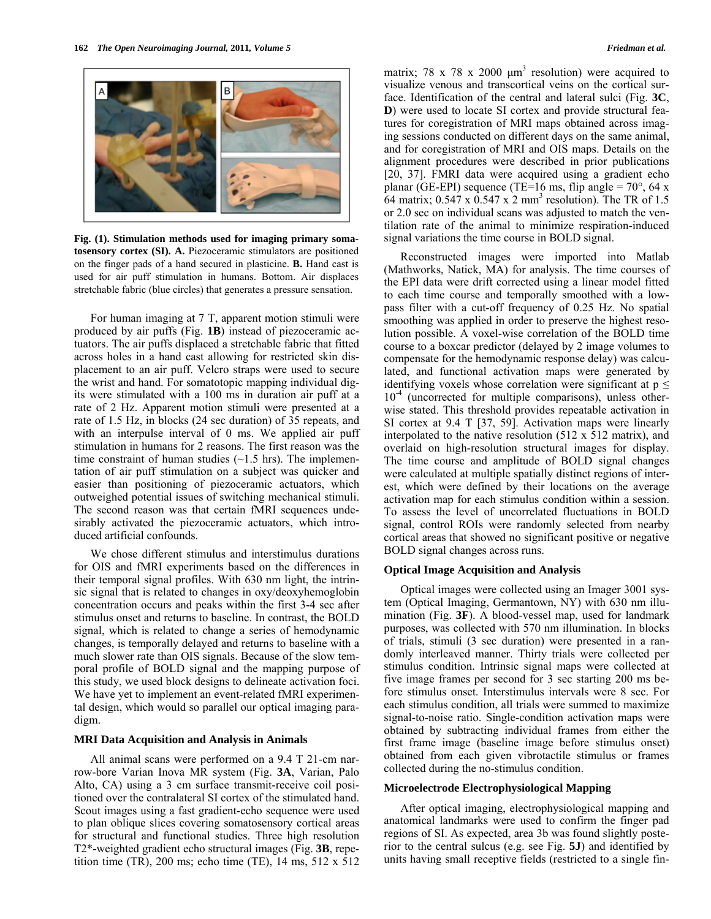

**Fig. (1). Stimulation methods used for imaging primary soma-** signal variations the time course in BOLD signal. **tosensory cortex (SI). A.** Piezoceramic stimulators are positioned on the finger pads of a hand secured in plasticine. **B.** Hand cast is used for air puff stimulation in humans. Bottom. Air displaces stretchable fabric (blue circles) that generates a pressure sensation.

 For human imaging at 7 T, apparent motion stimuli were produced by air puffs (Fig. **1B**) instead of piezoceramic actuators. The air puffs displaced a stretchable fabric that fitted across holes in a hand cast allowing for restricted skin displacement to an air puff. Velcro straps were used to secure the wrist and hand. For somatotopic mapping individual digits were stimulated with a 100 ms in duration air puff at a rate of 2 Hz. Apparent motion stimuli were presented at a rate of 1.5 Hz, in blocks (24 sec duration) of 35 repeats, and with an interpulse interval of 0 ms. We applied air puff stimulation in humans for 2 reasons. The first reason was the time constraint of human studies  $(\sim 1.5$  hrs). The implementation of air puff stimulation on a subject was quicker and easier than positioning of piezoceramic actuators, which outweighed potential issues of switching mechanical stimuli. The second reason was that certain fMRI sequences undesirably activated the piezoceramic actuators, which introduced artificial confounds.

 We chose different stimulus and interstimulus durations for OIS and fMRI experiments based on the differences in their temporal signal profiles. With 630 nm light, the intrinsic signal that is related to changes in oxy/deoxyhemoglobin concentration occurs and peaks within the first 3-4 sec after stimulus onset and returns to baseline. In contrast, the BOLD signal, which is related to change a series of hemodynamic changes, is temporally delayed and returns to baseline with a much slower rate than OIS signals. Because of the slow temporal profile of BOLD signal and the mapping purpose of this study, we used block designs to delineate activation foci. We have yet to implement an event-related fMRI experimental design, which would so parallel our optical imaging paradigm.

# **MRI Data Acquisition and Analysis in Animals**

 All animal scans were performed on a 9.4 T 21-cm narrow-bore Varian Inova MR system (Fig. **3A**, Varian, Palo Alto, CA) using a 3 cm surface transmit-receive coil positioned over the contralateral SI cortex of the stimulated hand. Scout images using a fast gradient-echo sequence were used to plan oblique slices covering somatosensory cortical areas for structural and functional studies. Three high resolution T2\*-weighted gradient echo structural images (Fig. **3B**, repetition time (TR), 200 ms; echo time (TE), 14 ms, 512 x 512

matrix; 78 x 78 x 2000  $\mu$ m<sup>3</sup> resolution) were acquired to visualize venous and transcortical veins on the cortical surface. Identification of the central and lateral sulci (Fig. **3C**, **D**) were used to locate SI cortex and provide structural features for coregistration of MRI maps obtained across imaging sessions conducted on different days on the same animal, and for coregistration of MRI and OIS maps. Details on the alignment procedures were described in prior publications [20, 37]. FMRI data were acquired using a gradient echo planar (GE-EPI) sequence (TE=16 ms, flip angle =  $70^{\circ}$ , 64 x 64 matrix;  $0.547 \times 0.547 \times 2 \text{ mm}^3$  resolution). The TR of 1.5 or 2.0 sec on individual scans was adjusted to match the ventilation rate of the animal to minimize respiration-induced

Reconstructed images were imported into Matlab (Mathworks, Natick, MA) for analysis. The time courses of the EPI data were drift corrected using a linear model fitted to each time course and temporally smoothed with a lowpass filter with a cut-off frequency of 0.25 Hz. No spatial smoothing was applied in order to preserve the highest resolution possible. A voxel-wise correlation of the BOLD time course to a boxcar predictor (delayed by 2 image volumes to compensate for the hemodynamic response delay) was calculated, and functional activation maps were generated by identifying voxels whose correlation were significant at  $p \leq$  $10^{-4}$  (uncorrected for multiple comparisons), unless otherwise stated. This threshold provides repeatable activation in SI cortex at 9.4 T [37, 59]. Activation maps were linearly interpolated to the native resolution (512 x 512 matrix), and overlaid on high-resolution structural images for display. The time course and amplitude of BOLD signal changes were calculated at multiple spatially distinct regions of interest, which were defined by their locations on the average activation map for each stimulus condition within a session. To assess the level of uncorrelated fluctuations in BOLD signal, control ROIs were randomly selected from nearby cortical areas that showed no significant positive or negative BOLD signal changes across runs.

# **Optical Image Acquisition and Analysis**

 Optical images were collected using an Imager 3001 system (Optical Imaging, Germantown, NY) with 630 nm illumination (Fig. **3F**). A blood-vessel map, used for landmark purposes, was collected with 570 nm illumination. In blocks of trials, stimuli (3 sec duration) were presented in a randomly interleaved manner. Thirty trials were collected per stimulus condition. Intrinsic signal maps were collected at five image frames per second for 3 sec starting 200 ms before stimulus onset. Interstimulus intervals were 8 sec. For each stimulus condition, all trials were summed to maximize signal-to-noise ratio. Single-condition activation maps were obtained by subtracting individual frames from either the first frame image (baseline image before stimulus onset) obtained from each given vibrotactile stimulus or frames collected during the no-stimulus condition.

# **Microelectrode Electrophysiological Mapping**

 After optical imaging, electrophysiological mapping and anatomical landmarks were used to confirm the finger pad regions of SI. As expected, area 3b was found slightly posterior to the central sulcus (e.g. see Fig. **5J**) and identified by units having small receptive fields (restricted to a single fin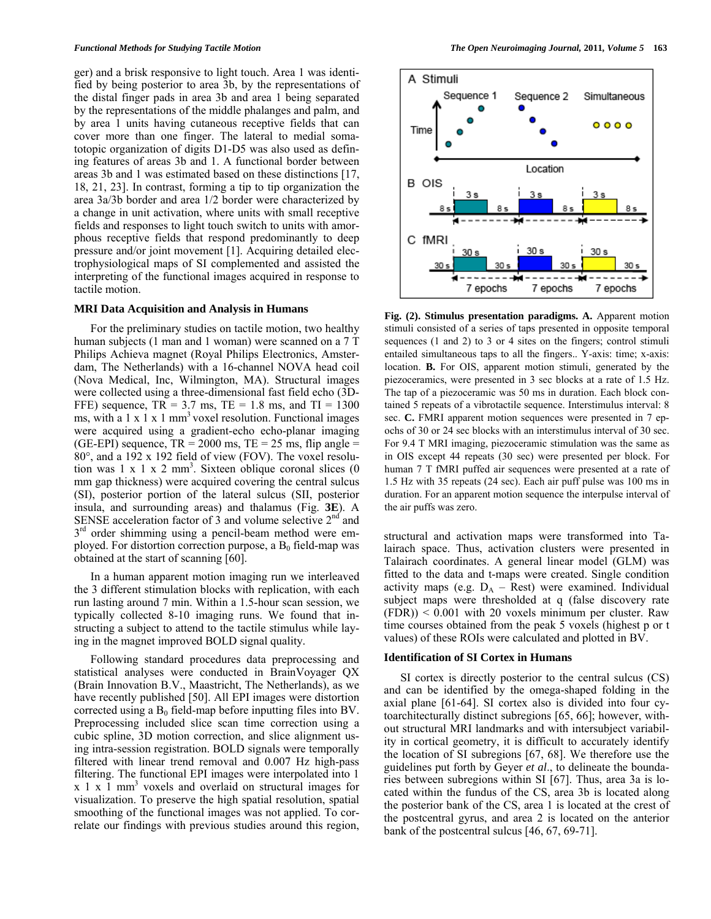ger) and a brisk responsive to light touch. Area 1 was identified by being posterior to area 3b, by the representations of the distal finger pads in area 3b and area 1 being separated by the representations of the middle phalanges and palm, and by area 1 units having cutaneous receptive fields that can cover more than one finger. The lateral to medial somatotopic organization of digits D1-D5 was also used as defining features of areas 3b and 1. A functional border between areas 3b and 1 was estimated based on these distinctions [17, 18, 21, 23]. In contrast, forming a tip to tip organization the area 3a/3b border and area 1/2 border were characterized by a change in unit activation, where units with small receptive fields and responses to light touch switch to units with amorphous receptive fields that respond predominantly to deep pressure and/or joint movement [1]. Acquiring detailed electrophysiological maps of SI complemented and assisted the interpreting of the functional images acquired in response to tactile motion.

#### **MRI Data Acquisition and Analysis in Humans**

 For the preliminary studies on tactile motion, two healthy human subjects (1 man and 1 woman) were scanned on a 7 T Philips Achieva magnet (Royal Philips Electronics, Amsterdam, The Netherlands) with a 16-channel NOVA head coil (Nova Medical, Inc, Wilmington, MA). Structural images were collected using a three-dimensional fast field echo (3D-FFE) sequence,  $TR = 3.7$  ms,  $TE = 1.8$  ms, and  $TI = 1300$ ms, with a  $1 \times 1 \times 1$  mm<sup>3</sup> voxel resolution. Functional images were acquired using a gradient-echo echo-planar imaging (GE-EPI) sequence,  $TR = 2000$  ms,  $TE = 25$  ms, flip angle =  $80^\circ$ , and a 192 x 192 field of view (FOV). The voxel resolution was  $1 \times 1 \times 2$  mm<sup>3</sup>. Sixteen oblique coronal slices  $(0)$ mm gap thickness) were acquired covering the central sulcus (SI), posterior portion of the lateral sulcus (SII, posterior insula, and surrounding areas) and thalamus (Fig. **3E**). A SENSE acceleration factor of  $\overline{3}$  and volume selective  $2<sup>nd</sup>$  and  $3<sup>rd</sup>$  order shimming using a pencil-beam method were employed. For distortion correction purpose, a  $B_0$  field-map was obtained at the start of scanning [60].

 In a human apparent motion imaging run we interleaved the 3 different stimulation blocks with replication, with each run lasting around 7 min. Within a 1.5-hour scan session, we typically collected 8-10 imaging runs. We found that instructing a subject to attend to the tactile stimulus while laying in the magnet improved BOLD signal quality.

 Following standard procedures data preprocessing and statistical analyses were conducted in BrainVoyager QX (Brain Innovation B.V., Maastricht, The Netherlands), as we have recently published [50]. All EPI images were distortion corrected using a  $B_0$  field-map before inputting files into BV. Preprocessing included slice scan time correction using a cubic spline, 3D motion correction, and slice alignment using intra-session registration. BOLD signals were temporally filtered with linear trend removal and 0.007 Hz high-pass filtering. The functional EPI images were interpolated into 1  $x \perp x \perp m m<sup>3</sup>$  voxels and overlaid on structural images for visualization. To preserve the high spatial resolution, spatial smoothing of the functional images was not applied. To correlate our findings with previous studies around this region,



**Fig. (2). Stimulus presentation paradigms. A.** Apparent motion stimuli consisted of a series of taps presented in opposite temporal sequences (1 and 2) to 3 or 4 sites on the fingers; control stimuli entailed simultaneous taps to all the fingers.. Y-axis: time; x-axis: location. **B.** For OIS, apparent motion stimuli, generated by the piezoceramics, were presented in 3 sec blocks at a rate of 1.5 Hz. The tap of a piezoceramic was 50 ms in duration. Each block contained 5 repeats of a vibrotactile sequence. Interstimulus interval: 8 sec. **C.** FMRI apparent motion sequences were presented in 7 epochs of 30 or 24 sec blocks with an interstimulus interval of 30 sec. For 9.4 T MRI imaging, piezoceramic stimulation was the same as in OIS except 44 repeats (30 sec) were presented per block. For human 7 T fMRI puffed air sequences were presented at a rate of 1.5 Hz with 35 repeats (24 sec). Each air puff pulse was 100 ms in duration. For an apparent motion sequence the interpulse interval of the air puffs was zero.

structural and activation maps were transformed into Talairach space. Thus, activation clusters were presented in Talairach coordinates. A general linear model (GLM) was fitted to the data and t-maps were created. Single condition activity maps (e.g.  $D_A -$  Rest) were examined. Individual subject maps were thresholded at q (false discovery rate  $(FDR)$ ) < 0.001 with 20 voxels minimum per cluster. Raw time courses obtained from the peak 5 voxels (highest p or t values) of these ROIs were calculated and plotted in BV.

#### **Identification of SI Cortex in Humans**

 SI cortex is directly posterior to the central sulcus (CS) and can be identified by the omega-shaped folding in the axial plane [61-64]. SI cortex also is divided into four cytoarchitecturally distinct subregions [65, 66]; however, without structural MRI landmarks and with intersubject variability in cortical geometry, it is difficult to accurately identify the location of SI subregions [67, 68]. We therefore use the guidelines put forth by Geyer *et al*., to delineate the boundaries between subregions within SI [67]. Thus, area 3a is located within the fundus of the CS, area 3b is located along the posterior bank of the CS, area 1 is located at the crest of the postcentral gyrus, and area 2 is located on the anterior bank of the postcentral sulcus [46, 67, 69-71].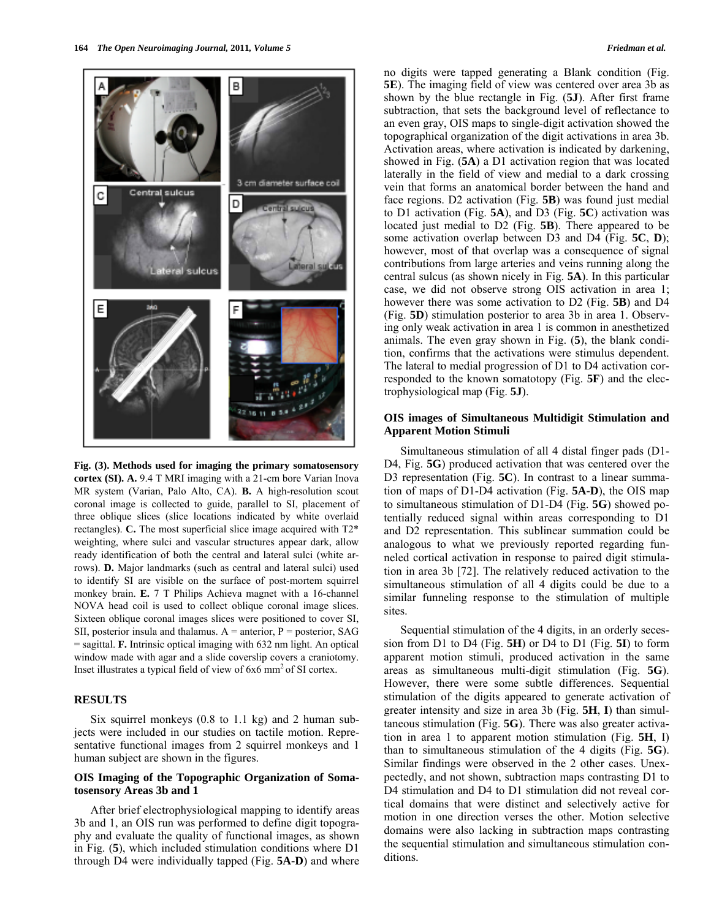

**Fig. (3). Methods used for imaging the primary somatosensory cortex (SI). A.** 9.4 T MRI imaging with a 21-cm bore Varian Inova MR system (Varian, Palo Alto, CA). **B.** A high-resolution scout coronal image is collected to guide, parallel to SI, placement of three oblique slices (slice locations indicated by white overlaid rectangles). **C.** The most superficial slice image acquired with T2\* weighting, where sulci and vascular structures appear dark, allow ready identification of both the central and lateral sulci (white arrows). **D.** Major landmarks (such as central and lateral sulci) used to identify SI are visible on the surface of post-mortem squirrel monkey brain. **E.** 7 T Philips Achieva magnet with a 16-channel NOVA head coil is used to collect oblique coronal image slices. Sixteen oblique coronal images slices were positioned to cover SI, SII, posterior insula and thalamus.  $A =$  anterior,  $P =$  posterior, SAG = sagittal. **F.** Intrinsic optical imaging with 632 nm light. An optical window made with agar and a slide coverslip covers a craniotomy. Inset illustrates a typical field of view of 6x6 mm<sup>2</sup> of SI cortex.

# **RESULTS**

 Six squirrel monkeys (0.8 to 1.1 kg) and 2 human subjects were included in our studies on tactile motion. Representative functional images from 2 squirrel monkeys and 1 human subject are shown in the figures.

# **OIS Imaging of the Topographic Organization of Somatosensory Areas 3b and 1**

 After brief electrophysiological mapping to identify areas 3b and 1, an OIS run was performed to define digit topography and evaluate the quality of functional images, as shown in Fig. (**5**), which included stimulation conditions where D1 through D4 were individually tapped (Fig. **5A-D**) and where no digits were tapped generating a Blank condition (Fig. **5E**). The imaging field of view was centered over area 3b as shown by the blue rectangle in Fig. (**5J**). After first frame subtraction, that sets the background level of reflectance to an even gray, OIS maps to single-digit activation showed the topographical organization of the digit activations in area 3b. Activation areas, where activation is indicated by darkening, showed in Fig. (**5A**) a D1 activation region that was located laterally in the field of view and medial to a dark crossing vein that forms an anatomical border between the hand and face regions. D2 activation (Fig. **5B**) was found just medial to D1 activation (Fig. **5A**), and D3 (Fig. **5C**) activation was located just medial to D2 (Fig. **5B**). There appeared to be some activation overlap between D3 and D4 (Fig. **5C**, **D**); however, most of that overlap was a consequence of signal contributions from large arteries and veins running along the central sulcus (as shown nicely in Fig. **5A**). In this particular case, we did not observe strong OIS activation in area 1; however there was some activation to D2 (Fig. **5B**) and D4 (Fig. **5D**) stimulation posterior to area 3b in area 1. Observing only weak activation in area 1 is common in anesthetized animals. The even gray shown in Fig. (**5**), the blank condition, confirms that the activations were stimulus dependent. The lateral to medial progression of D1 to D4 activation corresponded to the known somatotopy (Fig. **5F**) and the electrophysiological map (Fig. **5J**).

# **OIS images of Simultaneous Multidigit Stimulation and Apparent Motion Stimuli**

 Simultaneous stimulation of all 4 distal finger pads (D1- D4, Fig. **5G**) produced activation that was centered over the D3 representation (Fig. 5C). In contrast to a linear summation of maps of D1-D4 activation (Fig. **5A-D**), the OIS map to simultaneous stimulation of D1-D4 (Fig. **5G**) showed potentially reduced signal within areas corresponding to D1 and D2 representation. This sublinear summation could be analogous to what we previously reported regarding funneled cortical activation in response to paired digit stimulation in area 3b [72]. The relatively reduced activation to the simultaneous stimulation of all 4 digits could be due to a similar funneling response to the stimulation of multiple sites.

 Sequential stimulation of the 4 digits, in an orderly secession from D1 to D4 (Fig. **5H**) or D4 to D1 (Fig. **5I**) to form apparent motion stimuli, produced activation in the same areas as simultaneous multi-digit stimulation (Fig. **5G**). However, there were some subtle differences. Sequential stimulation of the digits appeared to generate activation of greater intensity and size in area 3b (Fig. **5H**, **I**) than simultaneous stimulation (Fig. **5G**). There was also greater activation in area 1 to apparent motion stimulation (Fig. **5H**, I) than to simultaneous stimulation of the 4 digits (Fig. **5G**). Similar findings were observed in the 2 other cases. Unexpectedly, and not shown, subtraction maps contrasting D1 to D4 stimulation and D4 to D1 stimulation did not reveal cortical domains that were distinct and selectively active for motion in one direction verses the other. Motion selective domains were also lacking in subtraction maps contrasting the sequential stimulation and simultaneous stimulation conditions.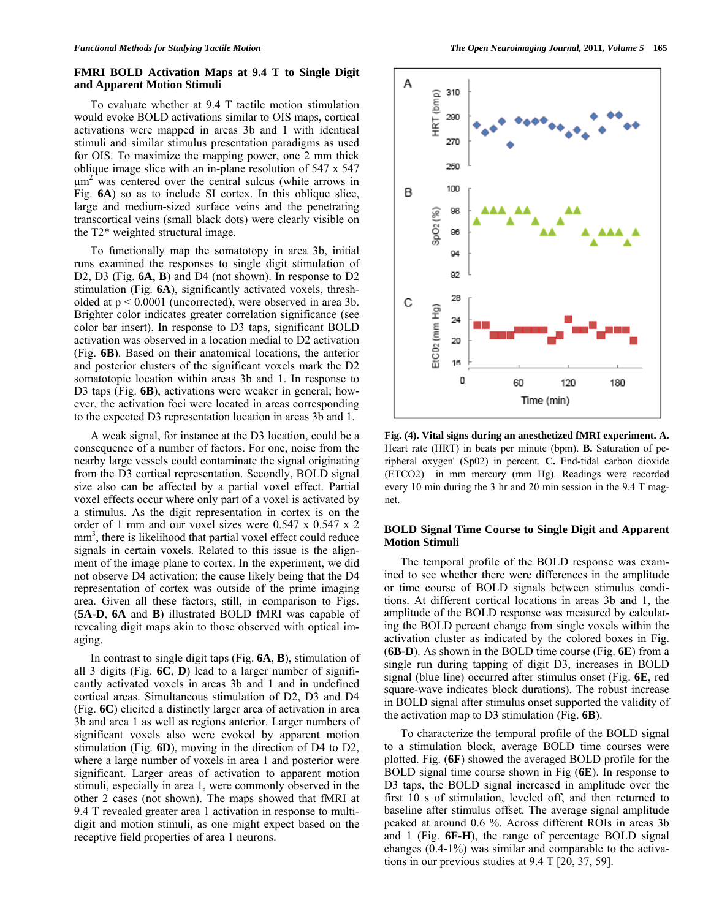# **FMRI BOLD Activation Maps at 9.4 T to Single Digit and Apparent Motion Stimuli**

To evaluate whether at 9.4 T tactile motion stimulation would evoke BOLD activations similar to OIS maps, cortical activations were mapped in areas 3b and 1 with identical stimuli and similar stimulus presentation paradigms as used for OIS. To maximize the mapping power, one 2 mm thick oblique image slice with an in-plane resolution of 547 x 547  $\mu$ m<sup>2</sup> was centered over the central sulcus (white arrows in Fig. **6A**) so as to include SI cortex. In this oblique slice, large and medium-sized surface veins and the penetrating transcortical veins (small black dots) were clearly visible on the T2\* weighted structural image.

 To functionally map the somatotopy in area 3b, initial runs examined the responses to single digit stimulation of D2, D3 (Fig. **6A**, **B**) and D4 (not shown). In response to D2 stimulation (Fig. **6A**), significantly activated voxels, thresholded at  $p < 0.0001$  (uncorrected), were observed in area 3b. Brighter color indicates greater correlation significance (see color bar insert). In response to D3 taps, significant BOLD activation was observed in a location medial to D2 activation (Fig. **6B**). Based on their anatomical locations, the anterior and posterior clusters of the significant voxels mark the D2 somatotopic location within areas 3b and 1. In response to D3 taps (Fig. **6B**), activations were weaker in general; however, the activation foci were located in areas corresponding to the expected D3 representation location in areas 3b and 1.

 A weak signal, for instance at the D3 location, could be a consequence of a number of factors. For one, noise from the nearby large vessels could contaminate the signal originating from the D3 cortical representation. Secondly, BOLD signal size also can be affected by a partial voxel effect. Partial voxel effects occur where only part of a voxel is activated by a stimulus. As the digit representation in cortex is on the order of 1 mm and our voxel sizes were 0.547 x 0.547 x 2 mm<sup>3</sup>, there is likelihood that partial voxel effect could reduce signals in certain voxels. Related to this issue is the alignment of the image plane to cortex. In the experiment, we did not observe D4 activation; the cause likely being that the D4 representation of cortex was outside of the prime imaging area. Given all these factors, still, in comparison to Figs. (**5A-D**, **6A** and **B**) illustrated BOLD fMRI was capable of revealing digit maps akin to those observed with optical imaging.

 In contrast to single digit taps (Fig. **6A**, **B**), stimulation of all 3 digits (Fig. **6C**, **D**) lead to a larger number of significantly activated voxels in areas 3b and 1 and in undefined cortical areas. Simultaneous stimulation of D2, D3 and D4 (Fig. **6C**) elicited a distinctly larger area of activation in area 3b and area 1 as well as regions anterior. Larger numbers of significant voxels also were evoked by apparent motion stimulation (Fig. **6D**), moving in the direction of D4 to D2, where a large number of voxels in area 1 and posterior were significant. Larger areas of activation to apparent motion stimuli, especially in area 1, were commonly observed in the other 2 cases (not shown). The maps showed that fMRI at 9.4 T revealed greater area 1 activation in response to multidigit and motion stimuli, as one might expect based on the receptive field properties of area 1 neurons.



**Fig. (4). Vital signs during an anesthetized fMRI experiment. A.**  Heart rate (HRT) in beats per minute (bpm). **B.** Saturation of peripheral oxygen' (Sp02) in percent. **C.** End-tidal carbon dioxide (ETCO2) in mm mercury (mm Hg). Readings were recorded every 10 min during the 3 hr and 20 min session in the 9.4 T magnet.

# **BOLD Signal Time Course to Single Digit and Apparent Motion Stimuli**

 The temporal profile of the BOLD response was examined to see whether there were differences in the amplitude or time course of BOLD signals between stimulus conditions. At different cortical locations in areas 3b and 1, the amplitude of the BOLD response was measured by calculating the BOLD percent change from single voxels within the activation cluster as indicated by the colored boxes in Fig. (**6B-D**). As shown in the BOLD time course (Fig. **6E**) from a single run during tapping of digit D3, increases in BOLD signal (blue line) occurred after stimulus onset (Fig. **6E**, red square-wave indicates block durations). The robust increase in BOLD signal after stimulus onset supported the validity of the activation map to D3 stimulation (Fig. **6B**).

 To characterize the temporal profile of the BOLD signal to a stimulation block, average BOLD time courses were plotted. Fig. (**6F**) showed the averaged BOLD profile for the BOLD signal time course shown in Fig (**6E**). In response to D3 taps, the BOLD signal increased in amplitude over the first 10 s of stimulation, leveled off, and then returned to baseline after stimulus offset. The average signal amplitude peaked at around 0.6 %. Across different ROIs in areas 3b and 1 (Fig. **6F-H**), the range of percentage BOLD signal changes (0.4-1%) was similar and comparable to the activations in our previous studies at 9.4 T [20, 37, 59].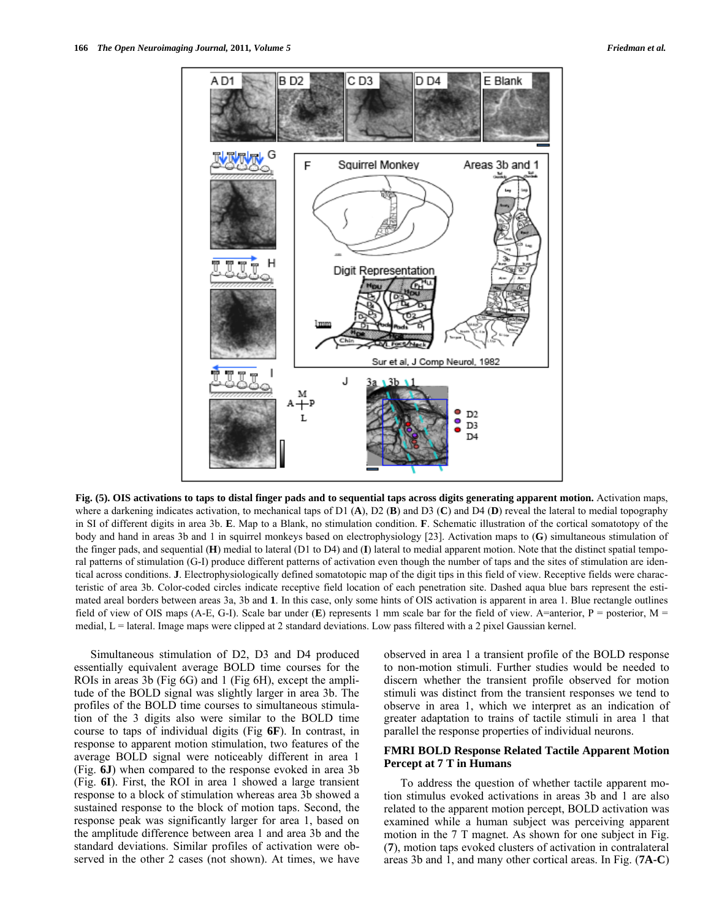

**Fig. (5). OIS activations to taps to distal finger pads and to sequential taps across digits generating apparent motion.** Activation maps, where a darkening indicates activation, to mechanical taps of D1 (**A**), D2 (**B**) and D3 (**C**) and D4 (**D**) reveal the lateral to medial topography in SI of different digits in area 3b. **E**. Map to a Blank, no stimulation condition. **F**. Schematic illustration of the cortical somatotopy of the body and hand in areas 3b and 1 in squirrel monkeys based on electrophysiology [23]. Activation maps to (**G**) simultaneous stimulation of the finger pads, and sequential (**H**) medial to lateral (D1 to D4) and (**I**) lateral to medial apparent motion. Note that the distinct spatial temporal patterns of stimulation (G-I) produce different patterns of activation even though the number of taps and the sites of stimulation are identical across conditions. **J**. Electrophysiologically defined somatotopic map of the digit tips in this field of view. Receptive fields were characteristic of area 3b. Color-coded circles indicate receptive field location of each penetration site. Dashed aqua blue bars represent the estimated areal borders between areas 3a, 3b and **1**. In this case, only some hints of OIS activation is apparent in area 1. Blue rectangle outlines field of view of OIS maps (A-E, G-I). Scale bar under (**E**) represents 1 mm scale bar for the field of view. A=anterior, P = posterior, M = medial, L = lateral. Image maps were clipped at 2 standard deviations. Low pass filtered with a 2 pixel Gaussian kernel.

 Simultaneous stimulation of D2, D3 and D4 produced essentially equivalent average BOLD time courses for the ROIs in areas 3b (Fig 6G) and 1 (Fig 6H), except the amplitude of the BOLD signal was slightly larger in area 3b. The profiles of the BOLD time courses to simultaneous stimulation of the 3 digits also were similar to the BOLD time course to taps of individual digits (Fig **6F**). In contrast, in response to apparent motion stimulation, two features of the average BOLD signal were noticeably different in area 1 (Fig. **6J**) when compared to the response evoked in area 3b (Fig. **6I**). First, the ROI in area 1 showed a large transient response to a block of stimulation whereas area 3b showed a sustained response to the block of motion taps. Second, the response peak was significantly larger for area 1, based on the amplitude difference between area 1 and area 3b and the standard deviations. Similar profiles of activation were observed in the other 2 cases (not shown). At times, we have observed in area 1 a transient profile of the BOLD response to non-motion stimuli. Further studies would be needed to discern whether the transient profile observed for motion stimuli was distinct from the transient responses we tend to observe in area 1, which we interpret as an indication of greater adaptation to trains of tactile stimuli in area 1 that parallel the response properties of individual neurons.

# **FMRI BOLD Response Related Tactile Apparent Motion Percept at 7 T in Humans**

 To address the question of whether tactile apparent motion stimulus evoked activations in areas 3b and 1 are also related to the apparent motion percept, BOLD activation was examined while a human subject was perceiving apparent motion in the 7 T magnet. As shown for one subject in Fig. (**7**), motion taps evoked clusters of activation in contralateral areas 3b and 1, and many other cortical areas. In Fig. (**7A-C**)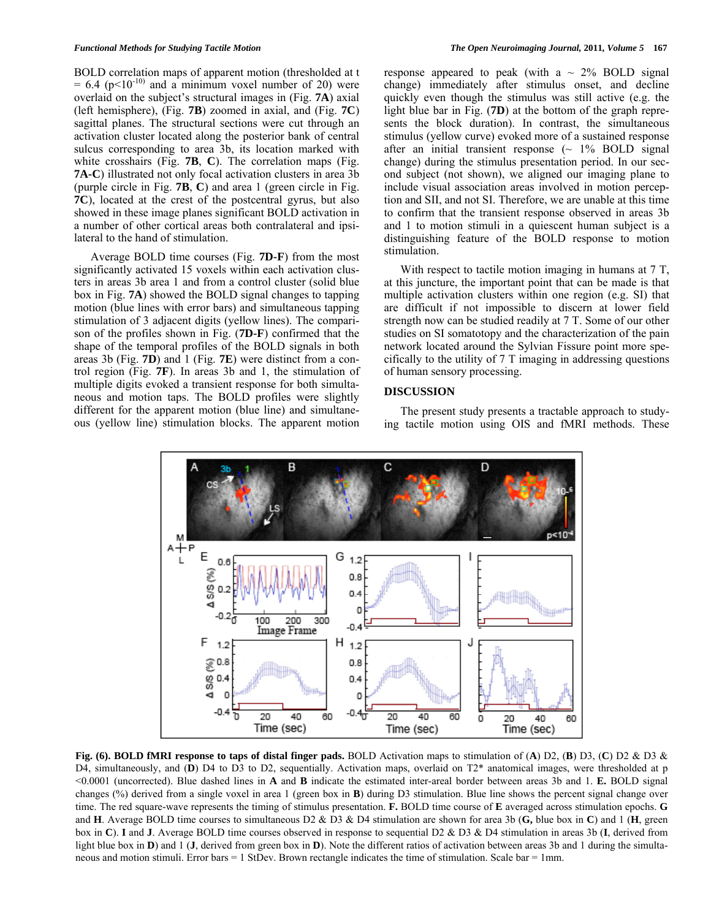BOLD correlation maps of apparent motion (thresholded at t  $= 6.4$  (p<10<sup>-10)</sup> and a minimum voxel number of 20) were overlaid on the subject's structural images in (Fig. **7A**) axial (left hemisphere), (Fig. **7B**) zoomed in axial, and (Fig. **7C**) sagittal planes. The structural sections were cut through an activation cluster located along the posterior bank of central sulcus corresponding to area 3b, its location marked with white crosshairs (Fig. **7B**, **C**). The correlation maps (Fig. **7A-C**) illustrated not only focal activation clusters in area 3b (purple circle in Fig. **7B**, **C**) and area 1 (green circle in Fig. **7C**), located at the crest of the postcentral gyrus, but also showed in these image planes significant BOLD activation in a number of other cortical areas both contralateral and ipsilateral to the hand of stimulation.

 Average BOLD time courses (Fig. **7D-F**) from the most significantly activated 15 voxels within each activation clusters in areas 3b area 1 and from a control cluster (solid blue box in Fig. **7A**) showed the BOLD signal changes to tapping motion (blue lines with error bars) and simultaneous tapping stimulation of 3 adjacent digits (yellow lines). The comparison of the profiles shown in Fig. (**7D-F**) confirmed that the shape of the temporal profiles of the BOLD signals in both areas 3b (Fig. **7D**) and 1 (Fig. **7E**) were distinct from a control region (Fig. **7F**). In areas 3b and 1, the stimulation of multiple digits evoked a transient response for both simultaneous and motion taps. The BOLD profiles were slightly different for the apparent motion (blue line) and simultaneous (yellow line) stimulation blocks. The apparent motion

response appeared to peak (with a  $\sim$  2% BOLD signal change) immediately after stimulus onset, and decline quickly even though the stimulus was still active (e.g. the light blue bar in Fig. (**7D**) at the bottom of the graph represents the block duration). In contrast, the simultaneous stimulus (yellow curve) evoked more of a sustained response after an initial transient response  $($   $\sim$  1% BOLD signal change) during the stimulus presentation period. In our second subject (not shown), we aligned our imaging plane to include visual association areas involved in motion perception and SII, and not SI. Therefore, we are unable at this time to confirm that the transient response observed in areas 3b and 1 to motion stimuli in a quiescent human subject is a distinguishing feature of the BOLD response to motion stimulation.

With respect to tactile motion imaging in humans at 7 T, at this juncture, the important point that can be made is that multiple activation clusters within one region (e.g. SI) that are difficult if not impossible to discern at lower field strength now can be studied readily at 7 T. Some of our other studies on SI somatotopy and the characterization of the pain network located around the Sylvian Fissure point more specifically to the utility of 7 T imaging in addressing questions of human sensory processing.

#### **DISCUSSION**

 The present study presents a tractable approach to studying tactile motion using OIS and fMRI methods. These



**Fig. (6). BOLD fMRI response to taps of distal finger pads.** BOLD Activation maps to stimulation of (**A**) D2, (**B**) D3, (**C**) D2 & D3 & D4, simultaneously, and (D) D4 to D3 to D2, sequentially. Activation maps, overlaid on T2<sup>\*</sup> anatomical images, were thresholded at p <0.0001 (uncorrected). Blue dashed lines in **A** and **B** indicate the estimated inter-areal border between areas 3b and 1. **E.** BOLD signal changes (%) derived from a single voxel in area 1 (green box in **B**) during D3 stimulation. Blue line shows the percent signal change over time. The red square-wave represents the timing of stimulus presentation. **F.** BOLD time course of **E** averaged across stimulation epochs. **G** and **H**. Average BOLD time courses to simultaneous D2 & D3 & D4 stimulation are shown for area 3b (**G,** blue box in **C**) and 1 (**H**, green box in **C**). **I** and **J**. Average BOLD time courses observed in response to sequential D2 & D3 & D4 stimulation in areas 3b (**I**, derived from light blue box in **D**) and 1 (**J**, derived from green box in **D**). Note the different ratios of activation between areas 3b and 1 during the simultaneous and motion stimuli. Error bars  $= 1$  StDev. Brown rectangle indicates the time of stimulation. Scale bar  $= 1$ mm.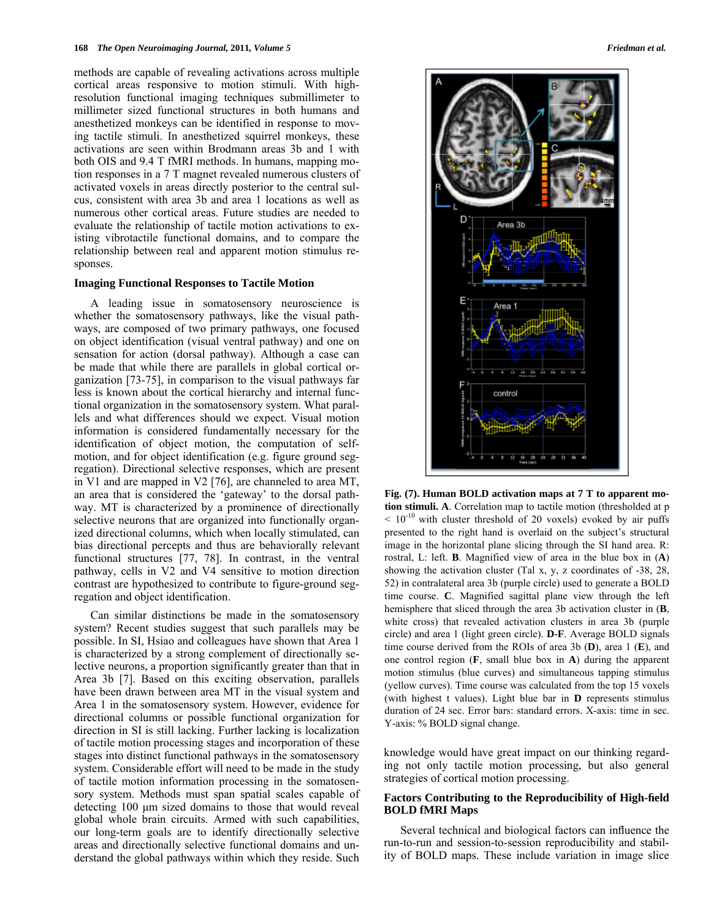methods are capable of revealing activations across multiple cortical areas responsive to motion stimuli. With highresolution functional imaging techniques submillimeter to millimeter sized functional structures in both humans and anesthetized monkeys can be identified in response to moving tactile stimuli. In anesthetized squirrel monkeys, these activations are seen within Brodmann areas 3b and 1 with both OIS and 9.4 T fMRI methods. In humans, mapping motion responses in a 7 T magnet revealed numerous clusters of activated voxels in areas directly posterior to the central sulcus, consistent with area 3b and area 1 locations as well as numerous other cortical areas. Future studies are needed to evaluate the relationship of tactile motion activations to existing vibrotactile functional domains, and to compare the relationship between real and apparent motion stimulus responses.

#### **Imaging Functional Responses to Tactile Motion**

 A leading issue in somatosensory neuroscience is whether the somatosensory pathways, like the visual pathways, are composed of two primary pathways, one focused on object identification (visual ventral pathway) and one on sensation for action (dorsal pathway). Although a case can be made that while there are parallels in global cortical organization [73-75], in comparison to the visual pathways far less is known about the cortical hierarchy and internal functional organization in the somatosensory system. What parallels and what differences should we expect. Visual motion information is considered fundamentally necessary for the identification of object motion, the computation of selfmotion, and for object identification (e.g. figure ground segregation). Directional selective responses, which are present in V1 and are mapped in V2 [76], are channeled to area MT, an area that is considered the 'gateway' to the dorsal pathway. MT is characterized by a prominence of directionally selective neurons that are organized into functionally organized directional columns, which when locally stimulated, can bias directional percepts and thus are behaviorally relevant functional structures [77, 78]. In contrast, in the ventral pathway, cells in V2 and V4 sensitive to motion direction contrast are hypothesized to contribute to figure-ground segregation and object identification.

 Can similar distinctions be made in the somatosensory system? Recent studies suggest that such parallels may be possible. In SI, Hsiao and colleagues have shown that Area 1 is characterized by a strong complement of directionally selective neurons, a proportion significantly greater than that in Area 3b [7]. Based on this exciting observation, parallels have been drawn between area MT in the visual system and Area 1 in the somatosensory system. However, evidence for directional columns or possible functional organization for direction in SI is still lacking. Further lacking is localization of tactile motion processing stages and incorporation of these stages into distinct functional pathways in the somatosensory system. Considerable effort will need to be made in the study of tactile motion information processing in the somatosensory system. Methods must span spatial scales capable of detecting 100 μm sized domains to those that would reveal global whole brain circuits. Armed with such capabilities, our long-term goals are to identify directionally selective areas and directionally selective functional domains and understand the global pathways within which they reside. Such



**Fig. (7). Human BOLD activation maps at 7 T to apparent motion stimuli. A**. Correlation map to tactile motion (thresholded at p  $< 10^{-10}$  with cluster threshold of 20 voxels) evoked by air puffs presented to the right hand is overlaid on the subject's structural image in the horizontal plane slicing through the SI hand area. R: rostral, L: left. **B**. Magnified view of area in the blue box in (**A**) showing the activation cluster (Tal x, y, z coordinates of -38, 28, 52) in contralateral area 3b (purple circle) used to generate a BOLD time course. **C**. Magnified sagittal plane view through the left hemisphere that sliced through the area 3b activation cluster in (**B**, white cross) that revealed activation clusters in area 3b (purple circle) and area 1 (light green circle). **D-F**. Average BOLD signals time course derived from the ROIs of area 3b (**D**), area 1 (**E**), and one control region (**F**, small blue box in **A**) during the apparent motion stimulus (blue curves) and simultaneous tapping stimulus (yellow curves). Time course was calculated from the top 15 voxels (with highest t values). Light blue bar in **D** represents stimulus duration of 24 sec. Error bars: standard errors. X-axis: time in sec. Y-axis: % BOLD signal change.

knowledge would have great impact on our thinking regarding not only tactile motion processing, but also general strategies of cortical motion processing.

# **Factors Contributing to the Reproducibility of High-field BOLD fMRI Maps**

 Several technical and biological factors can influence the run-to-run and session-to-session reproducibility and stability of BOLD maps. These include variation in image slice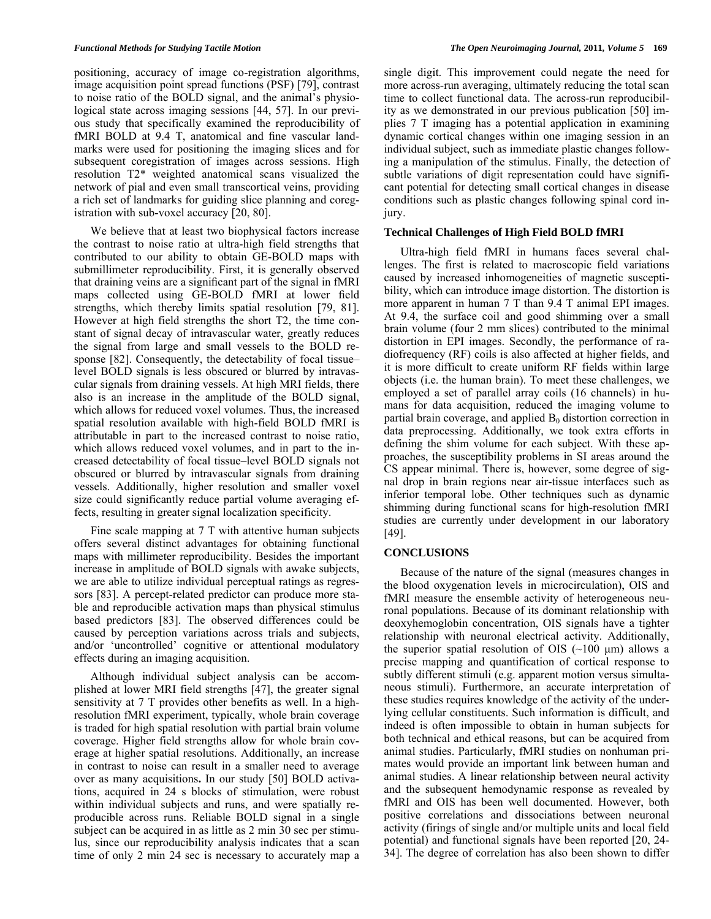positioning, accuracy of image co-registration algorithms, image acquisition point spread functions (PSF) [79], contrast to noise ratio of the BOLD signal, and the animal's physiological state across imaging sessions [44, 57]. In our previous study that specifically examined the reproducibility of fMRI BOLD at 9.4 T, anatomical and fine vascular landmarks were used for positioning the imaging slices and for subsequent coregistration of images across sessions. High resolution T2\* weighted anatomical scans visualized the network of pial and even small transcortical veins, providing a rich set of landmarks for guiding slice planning and coregistration with sub-voxel accuracy [20, 80].

 We believe that at least two biophysical factors increase the contrast to noise ratio at ultra-high field strengths that contributed to our ability to obtain GE-BOLD maps with submillimeter reproducibility. First, it is generally observed that draining veins are a significant part of the signal in fMRI maps collected using GE-BOLD fMRI at lower field strengths, which thereby limits spatial resolution [79, 81]. However at high field strengths the short T2, the time constant of signal decay of intravascular water, greatly reduces the signal from large and small vessels to the BOLD response [82]. Consequently, the detectability of focal tissue– level BOLD signals is less obscured or blurred by intravascular signals from draining vessels. At high MRI fields, there also is an increase in the amplitude of the BOLD signal, which allows for reduced voxel volumes. Thus, the increased spatial resolution available with high-field BOLD fMRI is attributable in part to the increased contrast to noise ratio, which allows reduced voxel volumes, and in part to the increased detectability of focal tissue–level BOLD signals not obscured or blurred by intravascular signals from draining vessels. Additionally, higher resolution and smaller voxel size could significantly reduce partial volume averaging effects, resulting in greater signal localization specificity.

 Fine scale mapping at 7 T with attentive human subjects offers several distinct advantages for obtaining functional maps with millimeter reproducibility. Besides the important increase in amplitude of BOLD signals with awake subjects, we are able to utilize individual perceptual ratings as regressors [83]. A percept-related predictor can produce more stable and reproducible activation maps than physical stimulus based predictors [83]. The observed differences could be caused by perception variations across trials and subjects, and/or 'uncontrolled' cognitive or attentional modulatory effects during an imaging acquisition.

 Although individual subject analysis can be accomplished at lower MRI field strengths [47], the greater signal sensitivity at 7 T provides other benefits as well. In a highresolution fMRI experiment, typically, whole brain coverage is traded for high spatial resolution with partial brain volume coverage. Higher field strengths allow for whole brain coverage at higher spatial resolutions. Additionally, an increase in contrast to noise can result in a smaller need to average over as many acquisitions**.** In our study [50] BOLD activations, acquired in 24 s blocks of stimulation, were robust within individual subjects and runs, and were spatially reproducible across runs. Reliable BOLD signal in a single subject can be acquired in as little as 2 min 30 sec per stimulus, since our reproducibility analysis indicates that a scan time of only 2 min 24 sec is necessary to accurately map a single digit. This improvement could negate the need for more across-run averaging, ultimately reducing the total scan time to collect functional data. The across-run reproducibility as we demonstrated in our previous publication [50] implies 7 T imaging has a potential application in examining dynamic cortical changes within one imaging session in an individual subject, such as immediate plastic changes following a manipulation of the stimulus. Finally, the detection of subtle variations of digit representation could have significant potential for detecting small cortical changes in disease conditions such as plastic changes following spinal cord injury.

#### **Technical Challenges of High Field BOLD fMRI**

 Ultra-high field fMRI in humans faces several challenges. The first is related to macroscopic field variations caused by increased inhomogeneities of magnetic susceptibility, which can introduce image distortion. The distortion is more apparent in human 7 T than 9.4 T animal EPI images. At 9.4, the surface coil and good shimming over a small brain volume (four 2 mm slices) contributed to the minimal distortion in EPI images. Secondly, the performance of radiofrequency (RF) coils is also affected at higher fields, and it is more difficult to create uniform RF fields within large objects (i.e. the human brain). To meet these challenges, we employed a set of parallel array coils (16 channels) in humans for data acquisition, reduced the imaging volume to partial brain coverage, and applied  $B_0$  distortion correction in data preprocessing. Additionally, we took extra efforts in defining the shim volume for each subject. With these approaches, the susceptibility problems in SI areas around the CS appear minimal. There is, however, some degree of signal drop in brain regions near air-tissue interfaces such as inferior temporal lobe. Other techniques such as dynamic shimming during functional scans for high-resolution fMRI studies are currently under development in our laboratory [49].

# **CONCLUSIONS**

 Because of the nature of the signal (measures changes in the blood oxygenation levels in microcirculation), OIS and fMRI measure the ensemble activity of heterogeneous neuronal populations. Because of its dominant relationship with deoxyhemoglobin concentration, OIS signals have a tighter relationship with neuronal electrical activity. Additionally, the superior spatial resolution of OIS  $(\sim 100 \mu m)$  allows a precise mapping and quantification of cortical response to subtly different stimuli (e.g. apparent motion versus simultaneous stimuli). Furthermore, an accurate interpretation of these studies requires knowledge of the activity of the underlying cellular constituents. Such information is difficult, and indeed is often impossible to obtain in human subjects for both technical and ethical reasons, but can be acquired from animal studies. Particularly, fMRI studies on nonhuman primates would provide an important link between human and animal studies. A linear relationship between neural activity and the subsequent hemodynamic response as revealed by fMRI and OIS has been well documented. However, both positive correlations and dissociations between neuronal activity (firings of single and/or multiple units and local field potential) and functional signals have been reported [20, 24- 34]. The degree of correlation has also been shown to differ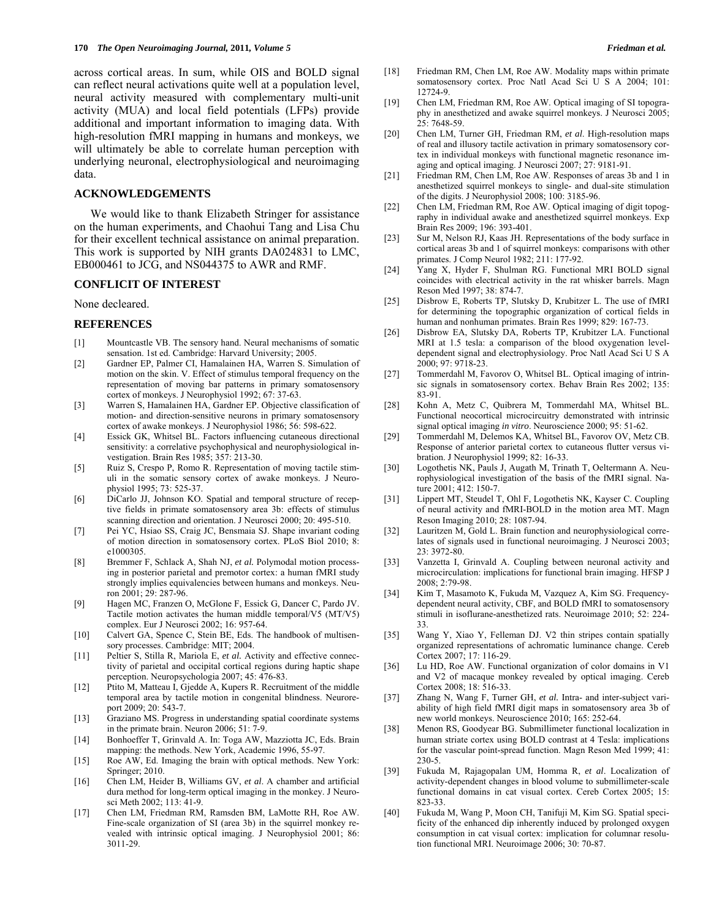across cortical areas. In sum, while OIS and BOLD signal can reflect neural activations quite well at a population level, neural activity measured with complementary multi-unit activity (MUA) and local field potentials (LFPs) provide additional and important information to imaging data. With high-resolution fMRI mapping in humans and monkeys, we will ultimately be able to correlate human perception with underlying neuronal, electrophysiological and neuroimaging data.

#### **ACKNOWLEDGEMENTS**

 We would like to thank Elizabeth Stringer for assistance on the human experiments, and Chaohui Tang and Lisa Chu for their excellent technical assistance on animal preparation. This work is supported by NIH grants DA024831 to LMC, EB000461 to JCG, and NS044375 to AWR and RMF.

# **CONFLICIT OF INTEREST**

#### None decleared.

#### **REFERENCES**

- [1] Mountcastle VB. The sensory hand. Neural mechanisms of somatic sensation. 1st ed. Cambridge: Harvard University; 2005.
- [2] Gardner EP, Palmer CI, Hamalainen HA, Warren S. Simulation of motion on the skin. V. Effect of stimulus temporal frequency on the representation of moving bar patterns in primary somatosensory cortex of monkeys. J Neurophysiol 1992; 67: 37-63.
- [3] Warren S, Hamalainen HA, Gardner EP. Objective classification of motion- and direction-sensitive neurons in primary somatosensory cortex of awake monkeys. J Neurophysiol 1986; 56: 598-622.
- [4] Essick GK, Whitsel BL. Factors influencing cutaneous directional sensitivity: a correlative psychophysical and neurophysiological investigation. Brain Res 1985; 357: 213-30.
- [5] Ruiz S, Crespo P, Romo R. Representation of moving tactile stimuli in the somatic sensory cortex of awake monkeys. J Neurophysiol 1995; 73: 525-37.
- [6] DiCarlo JJ, Johnson KO. Spatial and temporal structure of receptive fields in primate somatosensory area 3b: effects of stimulus scanning direction and orientation. J Neurosci 2000; 20: 495-510.
- [7] Pei YC, Hsiao SS, Craig JC, Bensmaia SJ. Shape invariant coding of motion direction in somatosensory cortex. PLoS Biol 2010; 8: e1000305.
- [8] Bremmer F, Schlack A, Shah NJ, *et al.* Polymodal motion processing in posterior parietal and premotor cortex: a human fMRI study strongly implies equivalencies between humans and monkeys. Neuron 2001; 29: 287-96.
- [9] Hagen MC, Franzen O, McGlone F, Essick G, Dancer C, Pardo JV. Tactile motion activates the human middle temporal/V5 (MT/V5) complex. Eur J Neurosci 2002; 16: 957-64.
- [10] Calvert GA, Spence C, Stein BE, Eds. The handbook of multisensory processes. Cambridge: MIT; 2004.
- [11] Peltier S, Stilla R, Mariola E, *et al.* Activity and effective connectivity of parietal and occipital cortical regions during haptic shape perception. Neuropsychologia 2007; 45: 476-83.
- [12] Ptito M, Matteau I, Gjedde A, Kupers R. Recruitment of the middle temporal area by tactile motion in congenital blindness. Neuroreport 2009; 20: 543-7.
- [13] Graziano MS. Progress in understanding spatial coordinate systems in the primate brain. Neuron 2006; 51: 7-9.
- [14] Bonhoeffer T, Grinvald A. In: Toga AW, Mazziotta JC, Eds. Brain mapping: the methods. New York, Academic 1996, 55-97.
- [15] Roe AW, Ed. Imaging the brain with optical methods. New York: Springer; 2010.
- [16] Chen LM, Heider B, Williams GV, *et al*. A chamber and artificial dura method for long-term optical imaging in the monkey. J Neurosci Meth 2002; 113: 41-9.
- [17] Chen LM, Friedman RM, Ramsden BM, LaMotte RH, Roe AW. Fine-scale organization of SI (area 3b) in the squirrel monkey revealed with intrinsic optical imaging. J Neurophysiol 2001; 86: 3011-29.
- [18] Friedman RM, Chen LM, Roe AW. Modality maps within primate somatosensory cortex. Proc Natl Acad Sci U S A 2004; 101: 12724-9.
- [19] Chen LM, Friedman RM, Roe AW. Optical imaging of SI topography in anesthetized and awake squirrel monkeys. J Neurosci 2005; 25: 7648-59.
- [20] Chen LM, Turner GH, Friedman RM, *et al*. High-resolution maps of real and illusory tactile activation in primary somatosensory cortex in individual monkeys with functional magnetic resonance imaging and optical imaging. J Neurosci 2007; 27: 9181-91.
- [21] Friedman RM, Chen LM, Roe AW. Responses of areas 3b and 1 in anesthetized squirrel monkeys to single- and dual-site stimulation of the digits. J Neurophysiol 2008; 100: 3185-96.
- [22] Chen LM, Friedman RM, Roe AW. Optical imaging of digit topography in individual awake and anesthetized squirrel monkeys. Exp Brain Res 2009; 196: 393-401.
- [23] Sur M, Nelson RJ, Kaas JH. Representations of the body surface in cortical areas 3b and 1 of squirrel monkeys: comparisons with other primates. J Comp Neurol 1982; 211: 177-92.
- [24] Yang X, Hyder F, Shulman RG. Functional MRI BOLD signal coincides with electrical activity in the rat whisker barrels. Magn Reson Med 1997; 38: 874-7.
- [25] Disbrow E, Roberts TP, Slutsky D, Krubitzer L. The use of fMRI for determining the topographic organization of cortical fields in human and nonhuman primates. Brain Res 1999; 829: 167-73.
- [26] Disbrow EA, Slutsky DA, Roberts TP, Krubitzer LA. Functional MRI at 1.5 tesla: a comparison of the blood oxygenation leveldependent signal and electrophysiology. Proc Natl Acad Sci U S A 2000; 97: 9718-23.
- [27] Tommerdahl M, Favorov O, Whitsel BL. Optical imaging of intrinsic signals in somatosensory cortex. Behav Brain Res 2002; 135: 83-91.
- [28] Kohn A, Metz C, Quibrera M, Tommerdahl MA, Whitsel BL. Functional neocortical microcircuitry demonstrated with intrinsic signal optical imaging *in vitro*. Neuroscience 2000; 95: 51-62.
- [29] Tommerdahl M, Delemos KA, Whitsel BL, Favorov OV, Metz CB. Response of anterior parietal cortex to cutaneous flutter versus vibration. J Neurophysiol 1999; 82: 16-33.
- [30] Logothetis NK, Pauls J, Augath M, Trinath T, Oeltermann A. Neurophysiological investigation of the basis of the fMRI signal. Nature 2001; 412: 150-7.
- [31] Lippert MT, Steudel T, Ohl F, Logothetis NK, Kayser C. Coupling of neural activity and fMRI-BOLD in the motion area MT. Magn Reson Imaging 2010; 28: 1087-94.
- [32] Lauritzen M, Gold L. Brain function and neurophysiological correlates of signals used in functional neuroimaging. J Neurosci 2003; 23: 3972-80.
- [33] Vanzetta I, Grinvald A. Coupling between neuronal activity and microcirculation: implications for functional brain imaging. HFSP J 2008; 2:79-98.
- [34] Kim T, Masamoto K, Fukuda M, Vazquez A, Kim SG. Frequencydependent neural activity, CBF, and BOLD fMRI to somatosensory stimuli in isoflurane-anesthetized rats. Neuroimage 2010; 52: 224- 33.
- [35] Wang Y, Xiao Y, Felleman DJ. V2 thin stripes contain spatially organized representations of achromatic luminance change. Cereb Cortex 2007; 17: 116-29.
- [36] Lu HD, Roe AW. Functional organization of color domains in V1 and V2 of macaque monkey revealed by optical imaging. Cereb Cortex 2008; 18: 516-33.
- [37] Zhang N, Wang F, Turner GH, *et al.* Intra- and inter-subject variability of high field fMRI digit maps in somatosensory area 3b of new world monkeys. Neuroscience 2010; 165: 252-64.
- [38] Menon RS, Goodyear BG. Submillimeter functional localization in human striate cortex using BOLD contrast at 4 Tesla: implications for the vascular point-spread function. Magn Reson Med 1999; 41: 230-5.
- [39] Fukuda M, Rajagopalan UM, Homma R, *et al*. Localization of activity-dependent changes in blood volume to submillimeter-scale functional domains in cat visual cortex. Cereb Cortex 2005; 15: 823-33.
- [40] Fukuda M, Wang P, Moon CH, Tanifuji M, Kim SG. Spatial specificity of the enhanced dip inherently induced by prolonged oxygen consumption in cat visual cortex: implication for columnar resolution functional MRI. Neuroimage 2006; 30: 70-87.